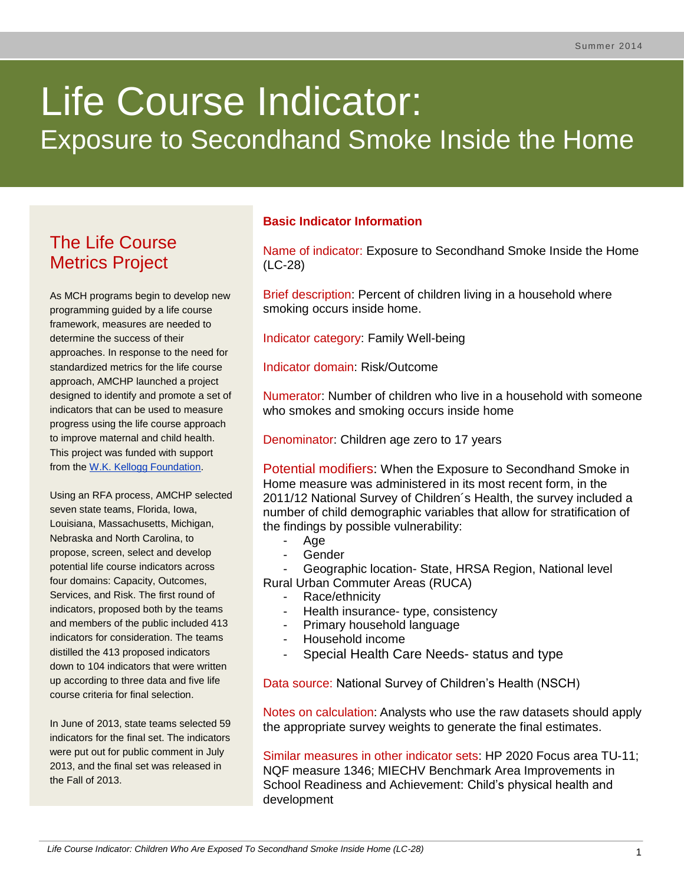# Life Course Indicator: Exposure to Secondhand Smoke Inside the Home

# The Life Course Metrics Project

As MCH programs begin to develop new programming guided by a life course framework, measures are needed to determine the success of their approaches. In response to the need for standardized metrics for the life course approach, AMCHP launched a project designed to identify and promote a set of indicators that can be used to measure progress using the life course approach to improve maternal and child health. This project was funded with support from the [W.K. Kellogg Foundation.](http://www.wkkf.org/)

Using an RFA process, AMCHP selected seven state teams, Florida, Iowa, Louisiana, Massachusetts, Michigan, Nebraska and North Carolina, to propose, screen, select and develop potential life course indicators across four domains: Capacity, Outcomes, Services, and Risk. The first round of indicators, proposed both by the teams and members of the public included 413 indicators for consideration. The teams distilled the 413 proposed indicators down to 104 indicators that were written up according to three data and five life course criteria for final selection.

In June of 2013, state teams selected 59 indicators for the final set. The indicators were put out for public comment in July 2013, and the final set was released in the Fall of 2013.

# **Basic Indicator Information**

Name of indicator: Exposure to Secondhand Smoke Inside the Home (LC-28)

Brief description: Percent of children living in a household where smoking occurs inside home.

Indicator category: Family Well-being

Indicator domain: Risk/Outcome

Numerator: Number of children who live in a household with someone who smokes and smoking occurs inside home

Denominator: Children age zero to 17 years

Potential modifiers: When the Exposure to Secondhand Smoke in Home measure was administered in its most recent form, in the 2011/12 National Survey of Children´s Health, the survey included a number of child demographic variables that allow for stratification of the findings by possible vulnerability:

- Age
- **Gender**
- Geographic location- State, HRSA Region, National level

Rural Urban Commuter Areas (RUCA)

- Race/ethnicity
- Health insurance- type, consistency
- Primary household language
- Household income
- Special Health Care Needs- status and type

Data source: National Survey of Children's Health (NSCH)

Notes on calculation: Analysts who use the raw datasets should apply the appropriate survey weights to generate the final estimates.

Similar measures in other indicator sets: HP 2020 Focus area TU-11; NQF measure 1346; MIECHV Benchmark Area Improvements in School Readiness and Achievement: Child's physical health and development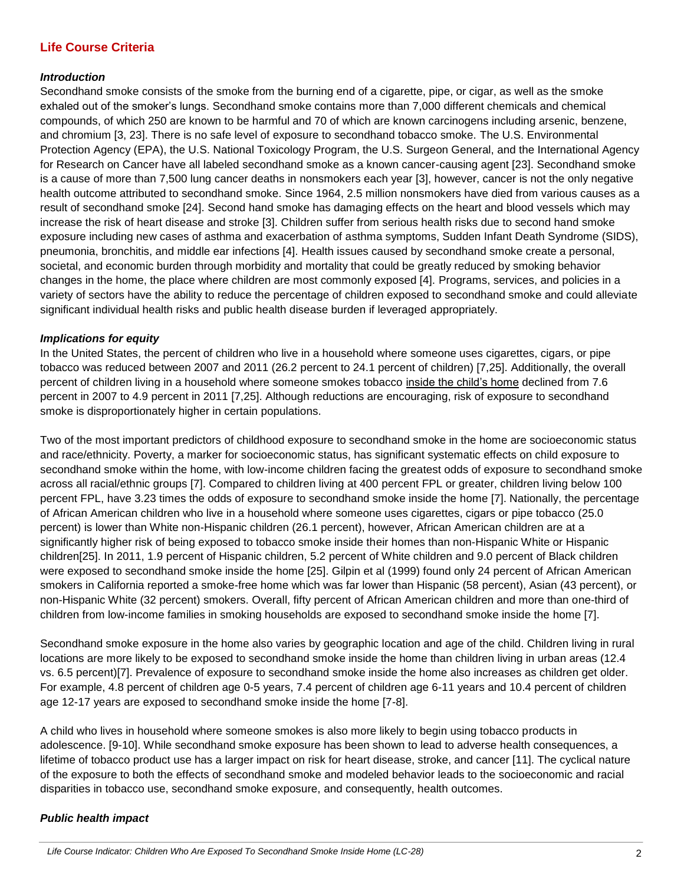# **Life Course Criteria**

#### *Introduction*

Secondhand smoke consists of the smoke from the burning end of a cigarette, pipe, or cigar, as well as the smoke exhaled out of the smoker's lungs. Secondhand smoke contains more than 7,000 different chemicals and chemical compounds, of which 250 are known to be harmful and 70 of which are known carcinogens including arsenic, benzene, and chromium [3, 23]. There is no safe level of exposure to secondhand tobacco smoke. The U.S. Environmental Protection Agency (EPA), the U.S. National Toxicology Program, the U.S. Surgeon General, and the International Agency for Research on Cancer have all labeled secondhand smoke as a known cancer-causing agent [23]. Secondhand smoke is a cause of more than 7,500 lung cancer deaths in nonsmokers each year [3], however, cancer is not the only negative health outcome attributed to secondhand smoke. Since 1964, 2.5 million nonsmokers have died from various causes as a result of secondhand smoke [24]. Second hand smoke has damaging effects on the heart and blood vessels which may increase the risk of heart disease and stroke [3]. Children suffer from serious health risks due to second hand smoke exposure including new cases of asthma and exacerbation of asthma symptoms, Sudden Infant Death Syndrome (SIDS), pneumonia, bronchitis, and middle ear infections [4]. Health issues caused by secondhand smoke create a personal, societal, and economic burden through morbidity and mortality that could be greatly reduced by smoking behavior changes in the home, the place where children are most commonly exposed [4]. Programs, services, and policies in a variety of sectors have the ability to reduce the percentage of children exposed to secondhand smoke and could alleviate significant individual health risks and public health disease burden if leveraged appropriately.

#### *Implications for equity*

In the United States, the percent of children who live in a household where someone uses cigarettes, cigars, or pipe tobacco was reduced between 2007 and 2011 (26.2 percent to 24.1 percent of children) [7,25]. Additionally, the overall percent of children living in a household where someone smokes tobacco inside the child's home declined from 7.6 percent in 2007 to 4.9 percent in 2011 [7,25]. Although reductions are encouraging, risk of exposure to secondhand smoke is disproportionately higher in certain populations.

Two of the most important predictors of childhood exposure to secondhand smoke in the home are socioeconomic status and race/ethnicity. Poverty, a marker for socioeconomic status, has significant systematic effects on child exposure to secondhand smoke within the home, with low-income children facing the greatest odds of exposure to secondhand smoke across all racial/ethnic groups [7]. Compared to children living at 400 percent FPL or greater, children living below 100 percent FPL, have 3.23 times the odds of exposure to secondhand smoke inside the home [7]. Nationally, the percentage of African American children who live in a household where someone uses cigarettes, cigars or pipe tobacco (25.0 percent) is lower than White non-Hispanic children (26.1 percent), however, African American children are at a significantly higher risk of being exposed to tobacco smoke inside their homes than non-Hispanic White or Hispanic children[25]. In 2011, 1.9 percent of Hispanic children, 5.2 percent of White children and 9.0 percent of Black children were exposed to secondhand smoke inside the home [25]. Gilpin et al (1999) found only 24 percent of African American smokers in California reported a smoke-free home which was far lower than Hispanic (58 percent), Asian (43 percent), or non-Hispanic White (32 percent) smokers. Overall, fifty percent of African American children and more than one-third of children from low-income families in smoking households are exposed to secondhand smoke inside the home [7].

Secondhand smoke exposure in the home also varies by geographic location and age of the child. Children living in rural locations are more likely to be exposed to secondhand smoke inside the home than children living in urban areas (12.4 vs. 6.5 percent)[7]. Prevalence of exposure to secondhand smoke inside the home also increases as children get older. For example, 4.8 percent of children age 0-5 years, 7.4 percent of children age 6-11 years and 10.4 percent of children age 12-17 years are exposed to secondhand smoke inside the home [7-8].

A child who lives in household where someone smokes is also more likely to begin using tobacco products in adolescence. [9-10]. While secondhand smoke exposure has been shown to lead to adverse health consequences, a lifetime of tobacco product use has a larger impact on risk for heart disease, stroke, and cancer [11]. The cyclical nature of the exposure to both the effects of secondhand smoke and modeled behavior leads to the socioeconomic and racial disparities in tobacco use, secondhand smoke exposure, and consequently, health outcomes.

#### *Public health impact*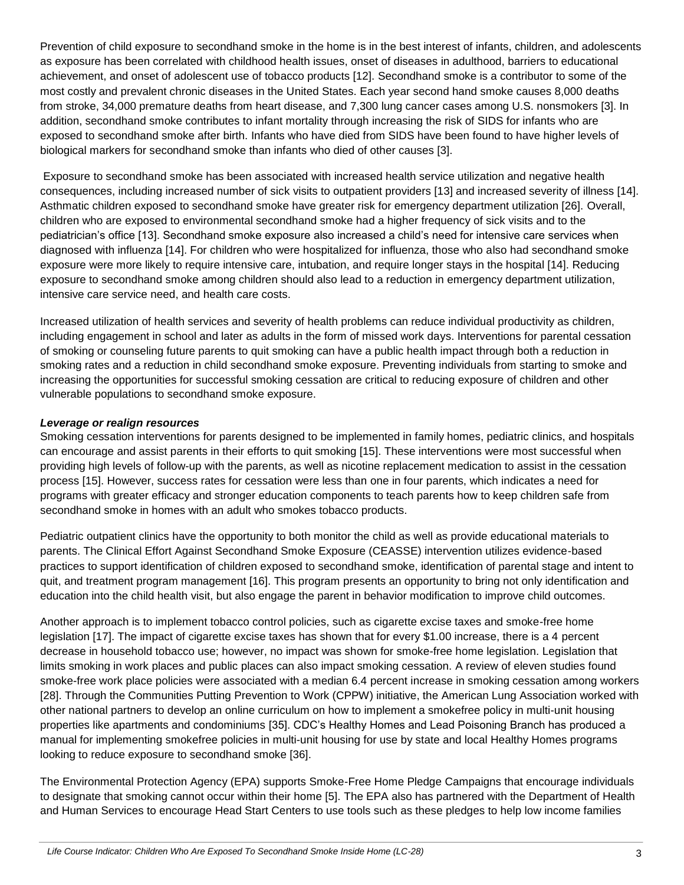Prevention of child exposure to secondhand smoke in the home is in the best interest of infants, children, and adolescents as exposure has been correlated with childhood health issues, onset of diseases in adulthood, barriers to educational achievement, and onset of adolescent use of tobacco products [12]. Secondhand smoke is a contributor to some of the most costly and prevalent chronic diseases in the United States. Each year second hand smoke causes 8,000 deaths from stroke, 34,000 premature deaths from heart disease, and 7,300 lung cancer cases among U.S. nonsmokers [3]. In addition, secondhand smoke contributes to infant mortality through increasing the risk of SIDS for infants who are exposed to secondhand smoke after birth. Infants who have died from SIDS have been found to have higher levels of biological markers for secondhand smoke than infants who died of other causes [3].

Exposure to secondhand smoke has been associated with increased health service utilization and negative health consequences, including increased number of sick visits to outpatient providers [13] and increased severity of illness [14]. Asthmatic children exposed to secondhand smoke have greater risk for emergency department utilization [26]. Overall, children who are exposed to environmental secondhand smoke had a higher frequency of sick visits and to the pediatrician's office [13]. Secondhand smoke exposure also increased a child's need for intensive care services when diagnosed with influenza [14]. For children who were hospitalized for influenza, those who also had secondhand smoke exposure were more likely to require intensive care, intubation, and require longer stays in the hospital [14]. Reducing exposure to secondhand smoke among children should also lead to a reduction in emergency department utilization, intensive care service need, and health care costs.

Increased utilization of health services and severity of health problems can reduce individual productivity as children, including engagement in school and later as adults in the form of missed work days. Interventions for parental cessation of smoking or counseling future parents to quit smoking can have a public health impact through both a reduction in smoking rates and a reduction in child secondhand smoke exposure. Preventing individuals from starting to smoke and increasing the opportunities for successful smoking cessation are critical to reducing exposure of children and other vulnerable populations to secondhand smoke exposure.

#### *Leverage or realign resources*

Smoking cessation interventions for parents designed to be implemented in family homes, pediatric clinics, and hospitals can encourage and assist parents in their efforts to quit smoking [15]. These interventions were most successful when providing high levels of follow-up with the parents, as well as nicotine replacement medication to assist in the cessation process [15]. However, success rates for cessation were less than one in four parents, which indicates a need for programs with greater efficacy and stronger education components to teach parents how to keep children safe from secondhand smoke in homes with an adult who smokes tobacco products.

Pediatric outpatient clinics have the opportunity to both monitor the child as well as provide educational materials to parents. The Clinical Effort Against Secondhand Smoke Exposure (CEASSE) intervention utilizes evidence-based practices to support identification of children exposed to secondhand smoke, identification of parental stage and intent to quit, and treatment program management [16]. This program presents an opportunity to bring not only identification and education into the child health visit, but also engage the parent in behavior modification to improve child outcomes.

Another approach is to implement tobacco control policies, such as cigarette excise taxes and smoke-free home legislation [17]. The impact of cigarette excise taxes has shown that for every \$1.00 increase, there is a 4 percent decrease in household tobacco use; however, no impact was shown for smoke-free home legislation. Legislation that limits smoking in work places and public places can also impact smoking cessation. A review of eleven studies found smoke-free work place policies were associated with a median 6.4 percent increase in smoking cessation among workers [28]. Through the Communities Putting Prevention to Work (CPPW) initiative, the American Lung Association worked with other national partners to develop an online curriculum on how to implement a smokefree policy in multi-unit housing properties like apartments and condominiums [35]. CDC's Healthy Homes and Lead Poisoning Branch has produced a manual for implementing smokefree policies in multi-unit housing for use by state and local Healthy Homes programs looking to reduce exposure to secondhand smoke [36].

The Environmental Protection Agency (EPA) supports Smoke-Free Home Pledge Campaigns that encourage individuals to designate that smoking cannot occur within their home [5]. The EPA also has partnered with the Department of Health and Human Services to encourage Head Start Centers to use tools such as these pledges to help low income families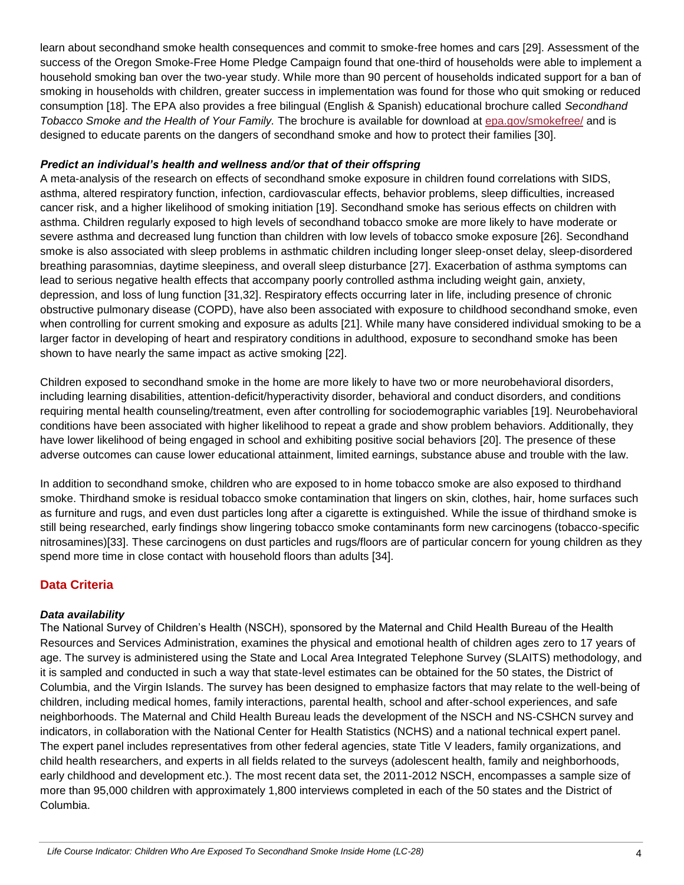learn about secondhand smoke health consequences and commit to smoke-free homes and cars [29]. Assessment of the success of the Oregon Smoke-Free Home Pledge Campaign found that one-third of households were able to implement a household smoking ban over the two-year study. While more than 90 percent of households indicated support for a ban of smoking in households with children, greater success in implementation was found for those who quit smoking or reduced consumption [18]. The EPA also provides a free bilingual (English & Spanish) educational brochure called *Secondhand Tobacco Smoke and the Health of Your Family.* The brochure is available for download at [epa.gov/smokefree/](http://www.epa.gov/smokefree/) and is designed to educate parents on the dangers of secondhand smoke and how to protect their families [30].

#### *Predict an individual's health and wellness and/or that of their offspring*

A meta-analysis of the research on effects of secondhand smoke exposure in children found correlations with SIDS, asthma, altered respiratory function, infection, cardiovascular effects, behavior problems, sleep difficulties, increased cancer risk, and a higher likelihood of smoking initiation [19]. Secondhand smoke has serious effects on children with asthma. Children regularly exposed to high levels of secondhand tobacco smoke are more likely to have moderate or severe asthma and decreased lung function than children with low levels of tobacco smoke exposure [26]. Secondhand smoke is also associated with sleep problems in asthmatic children including longer sleep-onset delay, sleep-disordered breathing parasomnias, daytime sleepiness, and overall sleep disturbance [27]. Exacerbation of asthma symptoms can lead to serious negative health effects that accompany poorly controlled asthma including weight gain, anxiety, depression, and loss of lung function [31,32]. Respiratory effects occurring later in life, including presence of chronic obstructive pulmonary disease (COPD), have also been associated with exposure to childhood secondhand smoke, even when controlling for current smoking and exposure as adults [21]. While many have considered individual smoking to be a larger factor in developing of heart and respiratory conditions in adulthood, exposure to secondhand smoke has been shown to have nearly the same impact as active smoking [22].

Children exposed to secondhand smoke in the home are more likely to have two or more neurobehavioral disorders, including learning disabilities, attention-deficit/hyperactivity disorder, behavioral and conduct disorders, and conditions requiring mental health counseling/treatment, even after controlling for sociodemographic variables [19]. Neurobehavioral conditions have been associated with higher likelihood to repeat a grade and show problem behaviors. Additionally, they have lower likelihood of being engaged in school and exhibiting positive social behaviors [20]. The presence of these adverse outcomes can cause lower educational attainment, limited earnings, substance abuse and trouble with the law.

In addition to secondhand smoke, children who are exposed to in home tobacco smoke are also exposed to thirdhand smoke. Thirdhand smoke is residual tobacco smoke contamination that lingers on skin, clothes, hair, home surfaces such as furniture and rugs, and even dust particles long after a cigarette is extinguished. While the issue of thirdhand smoke is still being researched, early findings show lingering tobacco smoke contaminants form new carcinogens (tobacco-specific nitrosamines)[33]. These carcinogens on dust particles and rugs/floors are of particular concern for young children as they spend more time in close contact with household floors than adults [34].

## **Data Criteria**

#### *Data availability*

The National Survey of Children's Health (NSCH), sponsored by the Maternal and Child Health Bureau of the Health Resources and Services Administration, examines the physical and emotional health of children ages zero to 17 years of age. The survey is administered using the State and Local Area Integrated Telephone Survey (SLAITS) methodology, and it is sampled and conducted in such a way that state-level estimates can be obtained for the 50 states, the District of Columbia, and the Virgin Islands. The survey has been designed to emphasize factors that may relate to the well-being of children, including medical homes, family interactions, parental health, school and after-school experiences, and safe neighborhoods. The Maternal and Child Health Bureau leads the development of the NSCH and NS-CSHCN survey and indicators, in collaboration with the National Center for Health Statistics (NCHS) and a national technical expert panel. The expert panel includes representatives from other federal agencies, state Title V leaders, family organizations, and child health researchers, and experts in all fields related to the surveys (adolescent health, family and neighborhoods, early childhood and development etc.). The most recent data set, the 2011-2012 NSCH, encompasses a sample size of more than 95,000 children with approximately 1,800 interviews completed in each of the 50 states and the District of Columbia.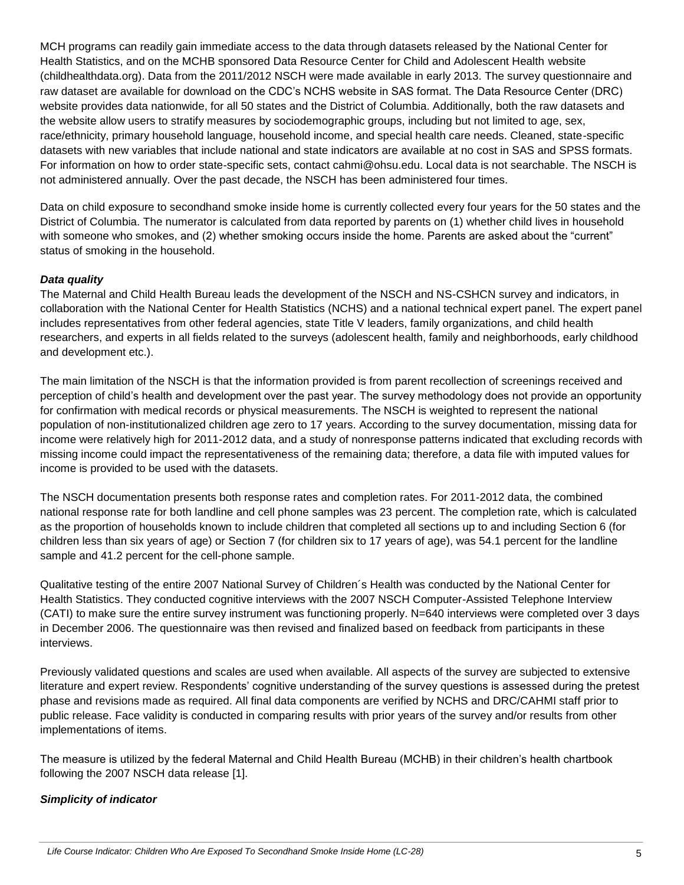MCH programs can readily gain immediate access to the data through datasets released by the National Center for Health Statistics, and on the MCHB sponsored Data Resource Center for Child and Adolescent Health website (childhealthdata.org). Data from the 2011/2012 NSCH were made available in early 2013. The survey questionnaire and raw dataset are available for download on the CDC's NCHS website in SAS format. The Data Resource Center (DRC) website provides data nationwide, for all 50 states and the District of Columbia. Additionally, both the raw datasets and the website allow users to stratify measures by sociodemographic groups, including but not limited to age, sex, race/ethnicity, primary household language, household income, and special health care needs. Cleaned, state-specific datasets with new variables that include national and state indicators are available at no cost in SAS and SPSS formats. For information on how to order state-specific sets, contact cahmi@ohsu.edu. Local data is not searchable. The NSCH is not administered annually. Over the past decade, the NSCH has been administered four times.

Data on child exposure to secondhand smoke inside home is currently collected every four years for the 50 states and the District of Columbia. The numerator is calculated from data reported by parents on (1) whether child lives in household with someone who smokes, and (2) whether smoking occurs inside the home. Parents are asked about the "current" status of smoking in the household.

#### *Data quality*

The Maternal and Child Health Bureau leads the development of the NSCH and NS-CSHCN survey and indicators, in collaboration with the National Center for Health Statistics (NCHS) and a national technical expert panel. The expert panel includes representatives from other federal agencies, state Title V leaders, family organizations, and child health researchers, and experts in all fields related to the surveys (adolescent health, family and neighborhoods, early childhood and development etc.).

The main limitation of the NSCH is that the information provided is from parent recollection of screenings received and perception of child's health and development over the past year. The survey methodology does not provide an opportunity for confirmation with medical records or physical measurements. The NSCH is weighted to represent the national population of non-institutionalized children age zero to 17 years. According to the survey documentation, missing data for income were relatively high for 2011-2012 data, and a study of nonresponse patterns indicated that excluding records with missing income could impact the representativeness of the remaining data; therefore, a data file with imputed values for income is provided to be used with the datasets.

The NSCH documentation presents both response rates and completion rates. For 2011-2012 data, the combined national response rate for both landline and cell phone samples was 23 percent. The completion rate, which is calculated as the proportion of households known to include children that completed all sections up to and including Section 6 (for children less than six years of age) or Section 7 (for children six to 17 years of age), was 54.1 percent for the landline sample and 41.2 percent for the cell-phone sample.

Qualitative testing of the entire 2007 National Survey of Children´s Health was conducted by the National Center for Health Statistics. They conducted cognitive interviews with the 2007 NSCH Computer-Assisted Telephone Interview (CATI) to make sure the entire survey instrument was functioning properly. N=640 interviews were completed over 3 days in December 2006. The questionnaire was then revised and finalized based on feedback from participants in these interviews.

Previously validated questions and scales are used when available. All aspects of the survey are subjected to extensive literature and expert review. Respondents' cognitive understanding of the survey questions is assessed during the pretest phase and revisions made as required. All final data components are verified by NCHS and DRC/CAHMI staff prior to public release. Face validity is conducted in comparing results with prior years of the survey and/or results from other implementations of items.

The measure is utilized by the federal Maternal and Child Health Bureau (MCHB) in their children's health chartbook following the 2007 NSCH data release [1].

## *Simplicity of indicator*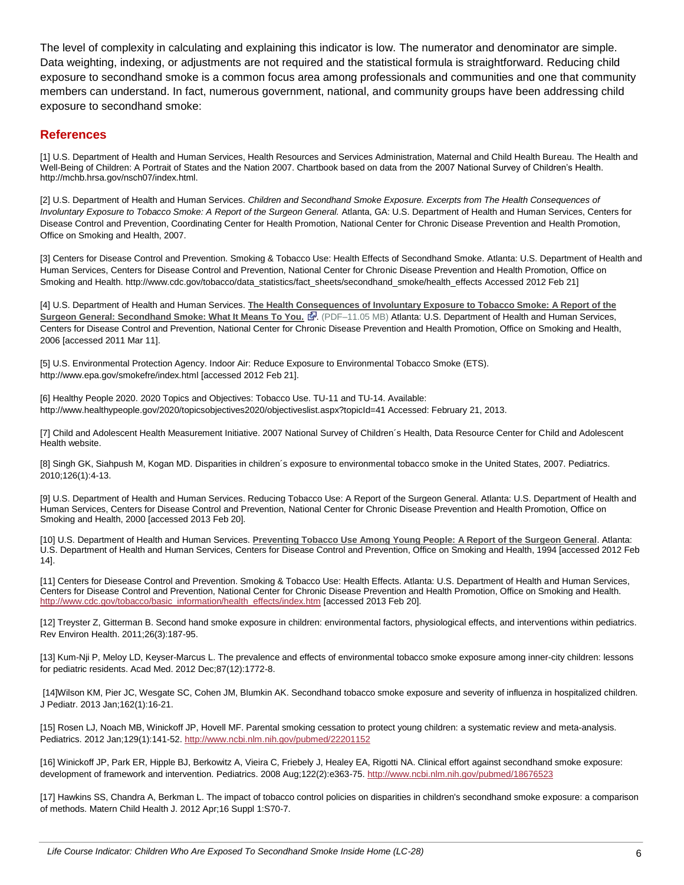The level of complexity in calculating and explaining this indicator is low. The numerator and denominator are simple. Data weighting, indexing, or adjustments are not required and the statistical formula is straightforward. Reducing child exposure to secondhand smoke is a common focus area among professionals and communities and one that community members can understand. In fact, numerous government, national, and community groups have been addressing child exposure to secondhand smoke:

#### **References**

[1] U.S. Department of Health and Human Services, Health Resources and Services Administration, Maternal and Child Health Bureau. The Health and Well-Being of Children: A Portrait of States and the Nation 2007. Chartbook based on data from the 2007 National Survey of Children's Health. http://mchb.hrsa.gov/nsch07/index.html.

[2] U.S. Department of Health and Human Services. *Children and Secondhand Smoke Exposure. Excerpts from The Health Consequences of Involuntary Exposure to Tobacco Smoke: A Report of the Surgeon General.* Atlanta, GA: U.S. Department of Health and Human Services, Centers for Disease Control and Prevention, Coordinating Center for Health Promotion, National Center for Chronic Disease Prevention and Health Promotion, Office on Smoking and Health, 2007.

[3] Centers for Disease Control and Prevention. Smoking & Tobacco Use: Health Effects of Secondhand Smoke. Atlanta: U.S. Department of Health and Human Services, Centers for Disease Control and Prevention, National Center for Chronic Disease Prevention and Health Promotion, Office on Smoking and Health. http://www.cdc.gov/tobacco/data\_statistics/fact\_sheets/secondhand\_smoke/health\_effects Accessed 2012 Feb 21]

[4] U.S. Department of Health and Human Services. **[The Health Consequences of Involuntary Exposure to Tobacco Smoke: A Report of the](http://www.surgeongeneral.gov/library/secondhandsmoke/secondhandsmoke.pdf)  [Surgeon General: Secondhand Smoke: What It Means To You.](http://www.surgeongeneral.gov/library/secondhandsmoke/secondhandsmoke.pdf) <a>**. (PDF-11.05 MB) Atlanta: U.S. Department of Health and Human Services, Centers for Disease Control and Prevention, National Center for Chronic Disease Prevention and Health Promotion, Office on Smoking and Health, 2006 [accessed 2011 Mar 11].

[5] U.S. Environmental Protection Agency. Indoor Air: Reduce Exposure to Environmental Tobacco Smoke (ETS). http://www.epa.gov/smokefre/index.html [accessed 2012 Feb 21].

[6] Healthy People 2020. 2020 Topics and Objectives: Tobacco Use. TU-11 and TU-14. Available: http://www.healthypeople.gov/2020/topicsobjectives2020/objectiveslist.aspx?topicId=41 Accessed: February 21, 2013.

[7] Child and Adolescent Health Measurement Initiative. 2007 National Survey of Children´s Health, Data Resource Center for Child and Adolescent Health website.

[8] Singh GK, Siahpush M, Kogan MD. Disparities in children´s exposure to environmental tobacco smoke in the United States, 2007. Pediatrics. 2010;126(1):4-13.

[9] U.S. Department of Health and Human Services. Reducing Tobacco Use: A Report of the Surgeon General. Atlanta: U.S. Department of Health and Human Services, Centers for Disease Control and Prevention, National Center for Chronic Disease Prevention and Health Promotion, Office on Smoking and Health, 2000 [accessed 2013 Feb 20].

[10] U.S. Department of Health and Human Services. **[Preventing Tobacco Use Among Young People: A Report of the Surgeon General](http://www.cdc.gov/tobacco/data_statistics/sgr/1994/index.htm)**. Atlanta: U.S. Department of Health and Human Services, Centers for Disease Control and Prevention, Office on Smoking and Health, 1994 [accessed 2012 Feb 14].

[11] Centers for Diesease Control and Prevention. Smoking & Tobacco Use: Health Effects. Atlanta: U.S. Department of Health and Human Services, Centers for Disease Control and Prevention, National Center for Chronic Disease Prevention and Health Promotion, Office on Smoking and Health. [http://www.cdc.gov/tobacco/basic\\_information/health\\_effects/index.htm](http://www.cdc.gov/tobacco/basic_information/health_effects/index.htm) [accessed 2013 Feb 20].

[12] Treyster Z, Gitterman B. Second hand smoke exposure in children: environmental factors, physiological effects, and interventions within pediatrics. Rev Environ Health. 2011;26(3):187-95.

[13] Kum-Nji P, Meloy LD, Keyser-Marcus L. The prevalence and effects of environmental tobacco smoke exposure among inner-city children: lessons for pediatric residents. Acad Med. 2012 Dec;87(12):1772-8.

[14]Wilson KM, Pier JC, Wesgate SC, Cohen JM, Blumkin AK. Secondhand tobacco smoke exposure and severity of influenza in hospitalized children. J Pediatr. 2013 Jan;162(1):16-21.

[15] Rosen LJ, Noach MB, Winickoff JP, Hovell MF. Parental smoking cessation to protect young children: a systematic review and meta-analysis. Pediatrics. 2012 Jan;129(1):141-52. <http://www.ncbi.nlm.nih.gov/pubmed/22201152>

[16] Winickoff JP, Park ER, Hipple BJ, Berkowitz A, Vieira C, Friebely J, Healey EA, Rigotti NA. Clinical effort against secondhand smoke exposure: development of framework and intervention. Pediatrics. 2008 Aug;122(2):e363-75.<http://www.ncbi.nlm.nih.gov/pubmed/18676523>

[17] Hawkins SS, Chandra A, Berkman L. The impact of tobacco control policies on disparities in children's secondhand smoke exposure: a comparison of methods. Matern Child Health J. 2012 Apr;16 Suppl 1:S70-7.